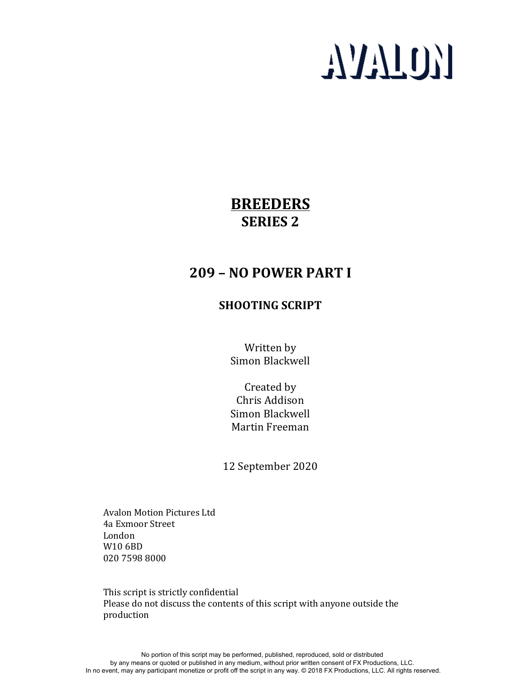# **AVALON**

# **BREEDERS SERIES 2**

# **209 – NO POWER PART I**

# **SHOOTING SCRIPT**

Written by Simon Blackwell

Created by Chris Addison Simon Blackwell Martin Freeman

12 September 2020

**Avalon Motion Pictures Ltd** 4a Exmoor Street London W10 6BD 020 7598 8000

This script is strictly confidential Please do not discuss the contents of this script with anyone outside the production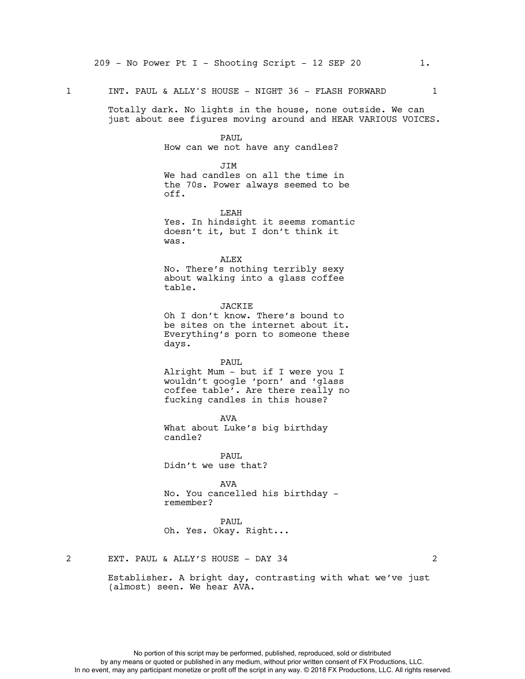### 1 INT. PAUL & ALLY'S HOUSE - NIGHT 36 - FLASH FORWARD 1

Totally dark. No lights in the house, none outside. We can just about see figures moving around and HEAR VARIOUS VOICES.

## PAUL

How can we not have any candles?

#### JTM.

We had candles on all the time in the 70s. Power always seemed to be off.

LEAH

Yes. In hindsight it seems romantic doesn't it, but I don't think it was.

ALEX No. There's nothing terribly sexy about walking into a glass coffee table.

JACKIE Oh I don't know. There's bound to be sites on the internet about it. Everything's porn to someone these days.

PAUL Alright Mum - but if I were you I wouldn't google 'porn' and 'glass coffee table'. Are there really no fucking candles in this house?

AVA What about Luke's big birthday candle?

PAUL. Didn't we use that?

AVA No. You cancelled his birthday remember?

PAUL

Oh. Yes. Okay. Right...

2 EXT. PAUL & ALLY'S HOUSE - DAY 34 2

Establisher. A bright day, contrasting with what we've just (almost) seen. We hear AVA.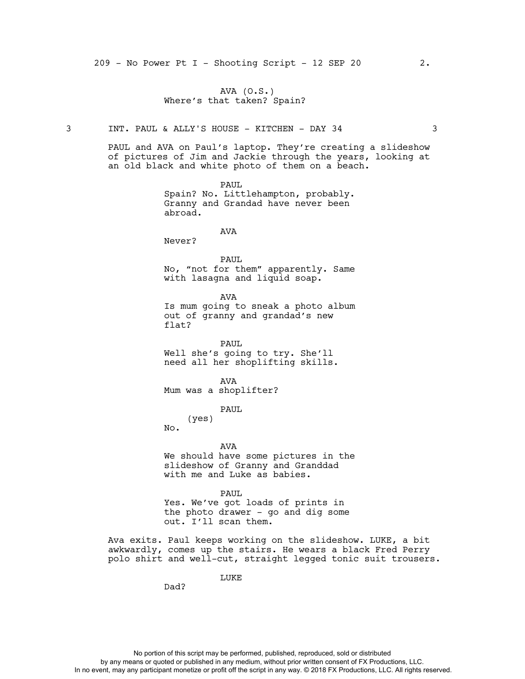# AVA (O.S.) Where's that taken? Spain?

3 INT. PAUL & ALLY'S HOUSE - KITCHEN - DAY 34 3

PAUL and AVA on Paul's laptop. They're creating a slideshow of pictures of Jim and Jackie through the years, looking at an old black and white photo of them on a beach.

> PAUL Spain? No. Littlehampton, probably. Granny and Grandad have never been abroad.

> > AVA

Never?

PAUL No, "not for them" apparently. Same with lasagna and liquid soap.

AVA Is mum going to sneak a photo album out of granny and grandad's new flat?

PAUL Well she's going to try. She'll need all her shoplifting skills.

AVA Mum was a shoplifter?

PAUL

(yes)

No.

AVA We should have some pictures in the slideshow of Granny and Granddad with me and Luke as babies.

PAUL Yes. We've got loads of prints in the photo drawer - go and dig some out. I'll scan them.

Ava exits. Paul keeps working on the slideshow. LUKE, a bit awkwardly, comes up the stairs. He wears a black Fred Perry polo shirt and well-cut, straight legged tonic suit trousers.

LUKE

Dad?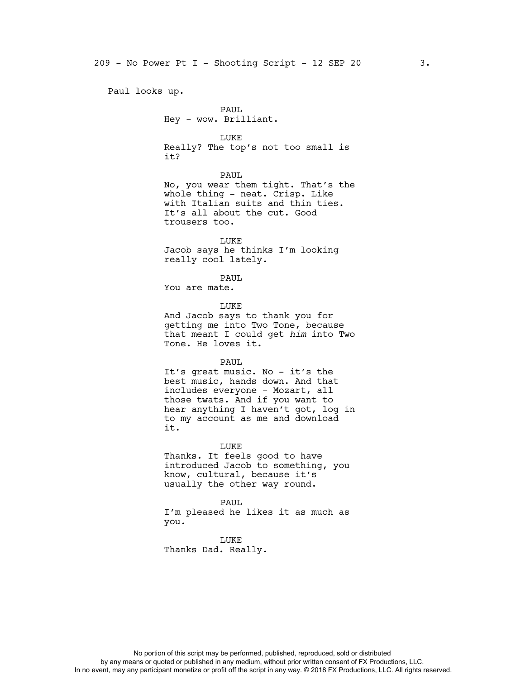Paul looks up.

PAUL Hey - wow. Brilliant.

LUKE Really? The top's not too small is it?

PAUL No, you wear them tight. That's the whole thing - neat. Crisp. Like with Italian suits and thin ties. It's all about the cut. Good trousers too.

LUKE Jacob says he thinks I'm looking really cool lately.

PAUL

You are mate.

LUKE

And Jacob says to thank you for getting me into Two Tone, because that meant I could get *him* into Two Tone. He loves it.

PAUL

It's great music. No - it's the best music, hands down. And that includes everyone - Mozart, all those twats. And if you want to hear anything I haven't got, log in to my account as me and download it.

LUKE Thanks. It feels good to have introduced Jacob to something, you know, cultural, because it's usually the other way round.

PAUL I'm pleased he likes it as much as you.

LUKE Thanks Dad. Really.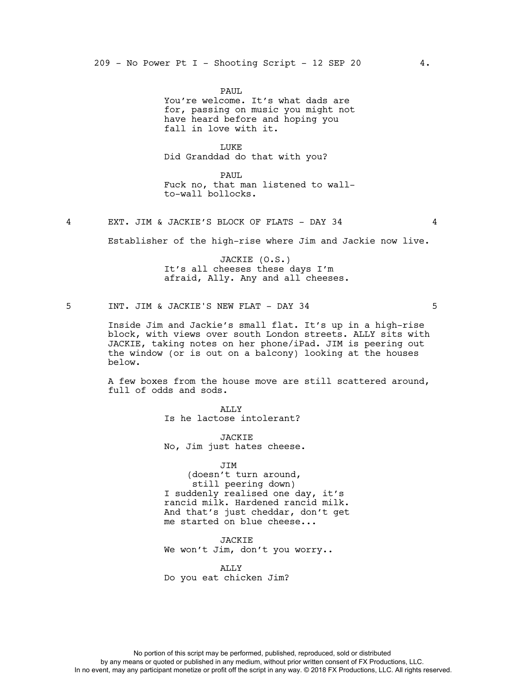PAUL You're welcome. It's what dads are for, passing on music you might not have heard before and hoping you fall in love with it.

LUKE Did Granddad do that with you?

PAUL Fuck no, that man listened to wallto-wall bollocks.

4 EXT. JIM & JACKIE'S BLOCK OF FLATS - DAY 34 4

Establisher of the high-rise where Jim and Jackie now live.

JACKIE (O.S.) It's all cheeses these days I'm afraid, Ally. Any and all cheeses.

5 INT. JIM & JACKIE'S NEW FLAT - DAY 34 5

Inside Jim and Jackie's small flat. It's up in a high-rise block, with views over south London streets. ALLY sits with JACKIE, taking notes on her phone/iPad. JIM is peering out the window (or is out on a balcony) looking at the houses below.

A few boxes from the house move are still scattered around, full of odds and sods.

> ALLY Is he lactose intolerant?

JACKIE No, Jim just hates cheese.

JIM (doesn't turn around, still peering down) I suddenly realised one day, it's rancid milk. Hardened rancid milk. And that's just cheddar, don't get me started on blue cheese...

JACKIE We won't Jim, don't you worry..

ALLY Do you eat chicken Jim?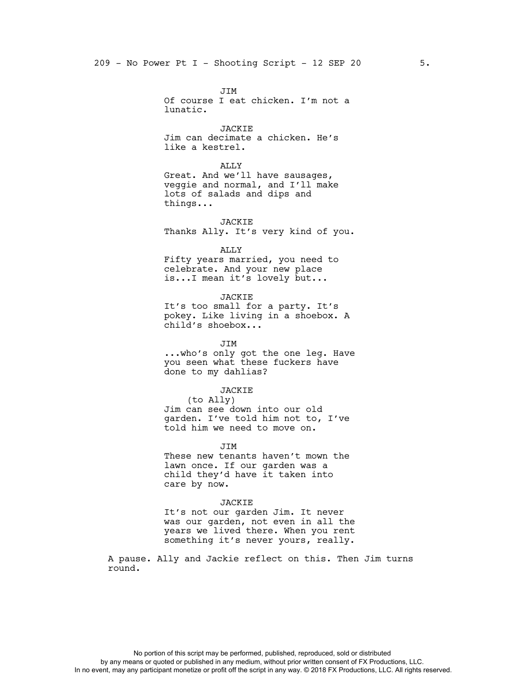JIM Of course I eat chicken. I'm not a lunatic.

JACKIE Jim can decimate a chicken. He's like a kestrel.

ALLY Great. And we'll have sausages, veggie and normal, and I'll make lots of salads and dips and things...

JACKIE Thanks Ally. It's very kind of you.

ALLY

Fifty years married, you need to celebrate. And your new place is...I mean it's lovely but...

JACKIE It's too small for a party. It's pokey. Like living in a shoebox. A child's shoebox...

JIM ...who's only got the one leg. Have you seen what these fuckers have done to my dahlias?

JACKIE

(to Ally) Jim can see down into our old garden. I've told him not to, I've told him we need to move on.

**JTM** These new tenants haven't mown the lawn once. If our garden was a child they'd have it taken into care by now.

JACKIE It's not our garden Jim. It never was our garden, not even in all the years we lived there. When you rent something it's never yours, really.

A pause. Ally and Jackie reflect on this. Then Jim turns round.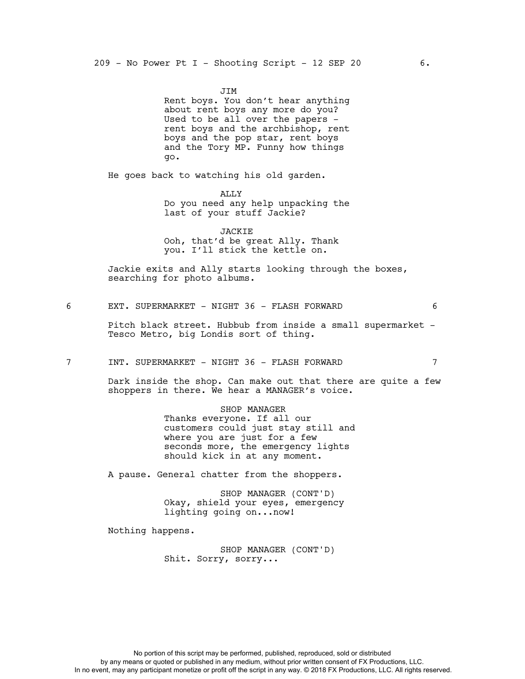JIM Rent boys. You don't hear anything about rent boys any more do you? Used to be all over the papers rent boys and the archbishop, rent boys and the pop star, rent boys and the Tory MP. Funny how things go.

He goes back to watching his old garden.

ALLY Do you need any help unpacking the last of your stuff Jackie?

JACKIE Ooh, that'd be great Ally. Thank you. I'll stick the kettle on.

Jackie exits and Ally starts looking through the boxes, searching for photo albums.

6 EXT. SUPERMARKET - NIGHT 36 - FLASH FORWARD 6

Pitch black street. Hubbub from inside a small supermarket - Tesco Metro, big Londis sort of thing.

7 INT. SUPERMARKET - NIGHT 36 - FLASH FORWARD 7

Dark inside the shop. Can make out that there are quite a few shoppers in there. We hear a MANAGER's voice.

> SHOP MANAGER Thanks everyone. If all our customers could just stay still and where you are just for a few seconds more, the emergency lights should kick in at any moment.

A pause. General chatter from the shoppers.

SHOP MANAGER (CONT'D) Okay, shield your eyes, emergency lighting going on...now!

Nothing happens.

SHOP MANAGER (CONT'D) Shit. Sorry, sorry...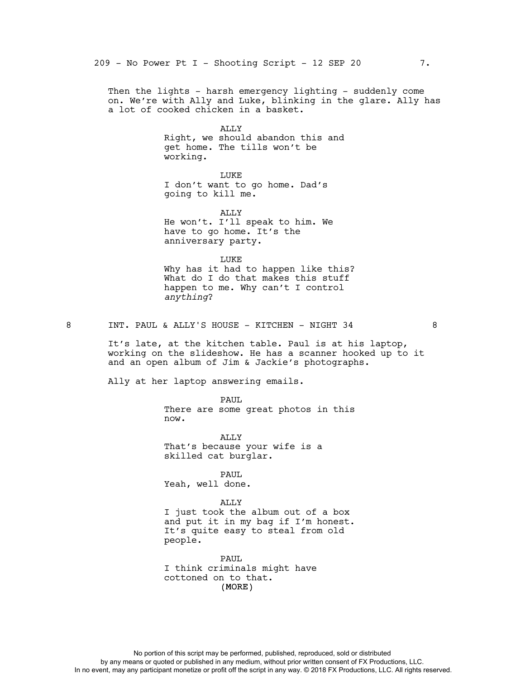Then the lights - harsh emergency lighting - suddenly come on. We're with Ally and Luke, blinking in the glare. Ally has a lot of cooked chicken in a basket.

> ALLY Right, we should abandon this and get home. The tills won't be working.

LUKE I don't want to go home. Dad's going to kill me.

ALLY He won't. I'll speak to him. We have to go home. It's the anniversary party.

LUKE Why has it had to happen like this? What do I do that makes this stuff happen to me. Why can't I control *anything*?

8 INT. PAUL & ALLY'S HOUSE - KITCHEN - NIGHT 34 8

It's late, at the kitchen table. Paul is at his laptop, working on the slideshow. He has a scanner hooked up to it and an open album of Jim & Jackie's photographs.

Ally at her laptop answering emails.

PAUL There are some great photos in this now.

ALLY That's because your wife is a skilled cat burglar.

PAUL Yeah, well done.

ALLY

I just took the album out of a box and put it in my bag if I'm honest. It's quite easy to steal from old people.

(MORE) PAUL I think criminals might have cottoned on to that.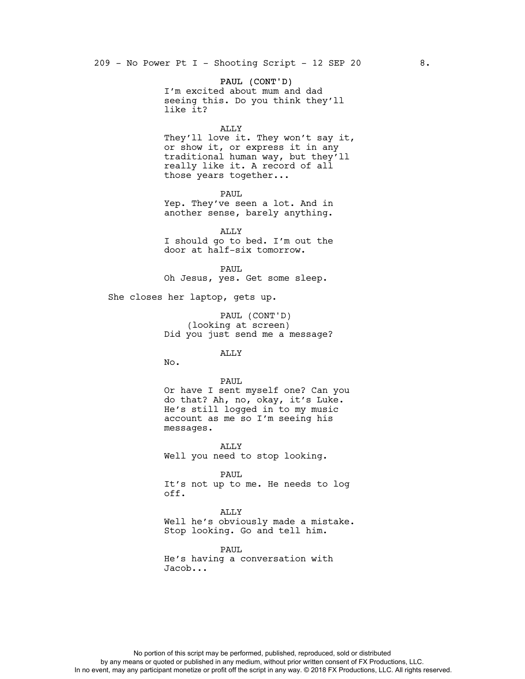PAUL (CONT'D) I'm excited about mum and dad seeing this. Do you think they'll like it?

#### ALLY

They'll love it. They won't say it, or show it, or express it in any traditional human way, but they'll really like it. A record of all those years together...

PAUL

Yep. They've seen a lot. And in another sense, barely anything.

ALLY I should go to bed. I'm out the door at half-six tomorrow.

PAUL Oh Jesus, yes. Get some sleep.

She closes her laptop, gets up.

PAUL (CONT'D) (looking at screen) Did you just send me a message?

ALLY

No.

PAUL Or have I sent myself one? Can you do that? Ah, no, okay, it's Luke. He's still logged in to my music account as me so I'm seeing his messages.

ALLY Well you need to stop looking.

PAUL It's not up to me. He needs to log off.

ALLY Well he's obviously made a mistake. Stop looking. Go and tell him.

PAUL He's having a conversation with Jacob...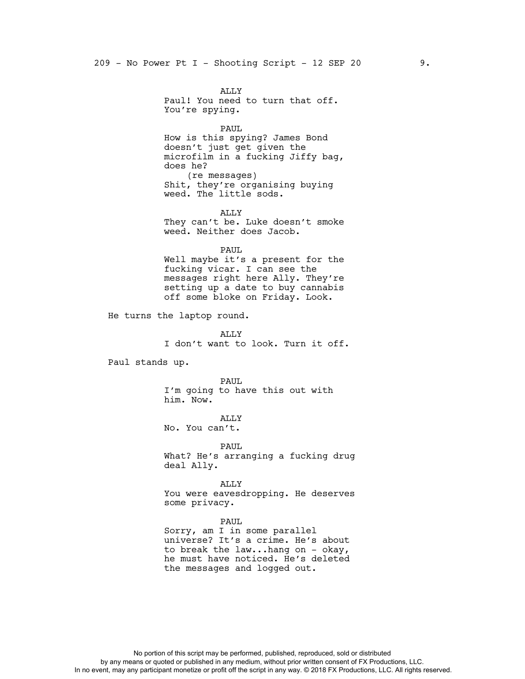ALLY Paul! You need to turn that off. You're spying.

PAUL How is this spying? James Bond doesn't just get given the microfilm in a fucking Jiffy bag, does he? (re messages) Shit, they're organising buying weed. The little sods.

ALLY They can't be. Luke doesn't smoke weed. Neither does Jacob.

PAUL Well maybe it's a present for the fucking vicar. I can see the messages right here Ally. They're setting up a date to buy cannabis off some bloke on Friday. Look.

He turns the laptop round.

ALLY I don't want to look. Turn it off.

Paul stands up.

PAUL. I'm going to have this out with him. Now.

ALLY No. You can't.

PAUL What? He's arranging a fucking drug deal Ally.

ALLY You were eavesdropping. He deserves some privacy.

PAUL

Sorry, am I in some parallel universe? It's a crime. He's about to break the law...hang on - okay, he must have noticed. He's deleted the messages and logged out.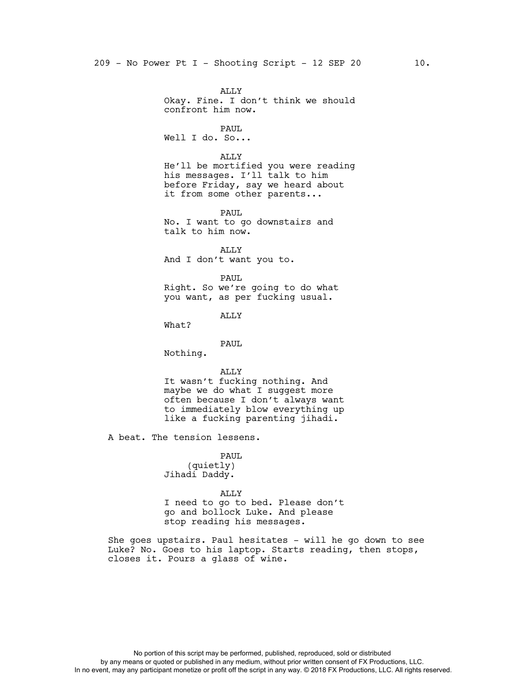ALLY Okay. Fine. I don't think we should confront him now. PAUL Well I do. So... ALLY He'll be mortified you were reading his messages. I'll talk to him before Friday, say we heard about it from some other parents... PAUL No. I want to go downstairs and talk to him now. ALLY And I don't want you to. PAUL Right. So we're going to do what you want, as per fucking usual. ALLY What? PAUL Nothing. ALLY It wasn't fucking nothing. And maybe we do what I suggest more often because I don't always want to immediately blow everything up like a fucking parenting jihadi. A beat. The tension lessens. PAUL (quietly) Jihadi Daddy. ALLY I need to go to bed. Please don't go and bollock Luke. And please stop reading his messages.

She goes upstairs. Paul hesitates - will he go down to see Luke? No. Goes to his laptop. Starts reading, then stops, closes it. Pours a glass of wine.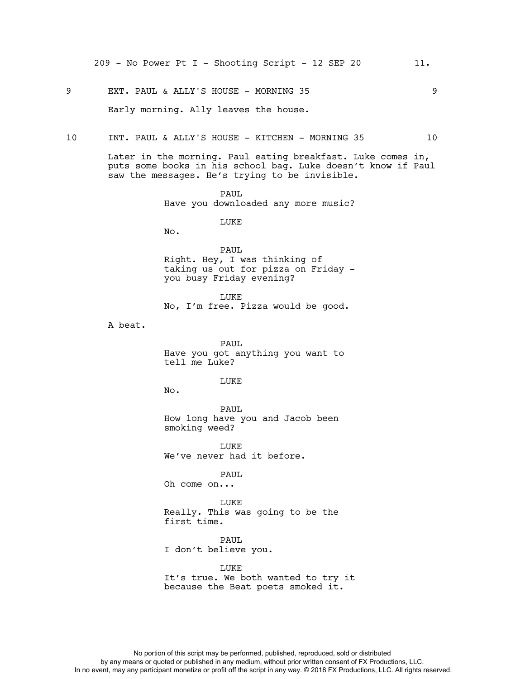9 EXT. PAUL & ALLY'S HOUSE - MORNING 35 9

Early morning. Ally leaves the house.

10 INT. PAUL & ALLY'S HOUSE - KITCHEN - MORNING 35 10

Later in the morning. Paul eating breakfast. Luke comes in, puts some books in his school bag. Luke doesn't know if Paul saw the messages. He's trying to be invisible.

> PAUL Have you downloaded any more music?

> > LUKE

No.

PAUL Right. Hey, I was thinking of taking us out for pizza on Friday you busy Friday evening?

LUKE No, I'm free. Pizza would be good.

A beat.

PAUL Have you got anything you want to tell me Luke?

**LUKE** 

No.

PAUL How long have you and Jacob been smoking weed?

**LUKE** We've never had it before.

PAUL Oh come on...

LUKE Really. This was going to be the first time.

PAUL I don't believe you.

LUKE It's true. We both wanted to try it because the Beat poets smoked it.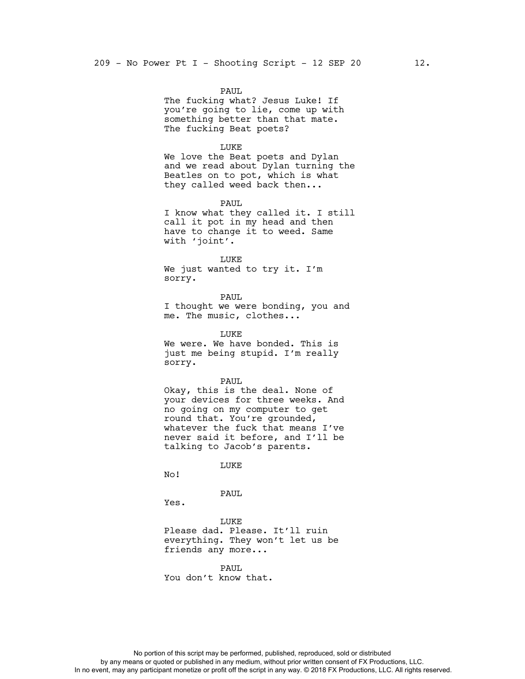PAUL The fucking what? Jesus Luke! If you're going to lie, come up with something better than that mate. The fucking Beat poets?

## LUKE

We love the Beat poets and Dylan and we read about Dylan turning the Beatles on to pot, which is what they called weed back then...

PAUL I know what they called it. I still call it pot in my head and then have to change it to weed. Same with 'joint'.

LUKE We just wanted to try it. I'm sorry.

PAUL I thought we were bonding, you and me. The music, clothes...

LUKE We were. We have bonded. This is just me being stupid. I'm really sorry.

PAUL

Okay, this is the deal. None of your devices for three weeks. And no going on my computer to get round that. You're grounded, whatever the fuck that means I've never said it before, and I'll be talking to Jacob's parents.

LUKE

No!

PAUL

Yes.

LUKE Please dad. Please. It'll ruin everything. They won't let us be friends any more...

PAUL You don't know that.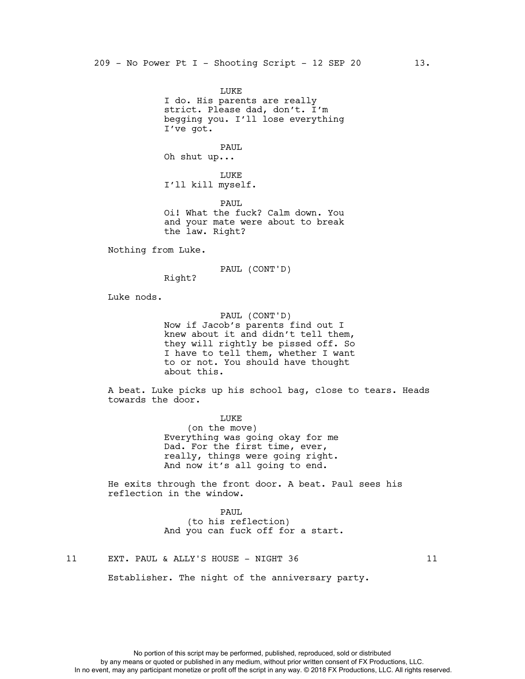LUKE I do. His parents are really strict. Please dad, don't. I'm begging you. I'll lose everything I've got. PAUL Oh shut up... LUKE I'll kill myself. PAUL Oi! What the fuck? Calm down. You and your mate were about to break the law. Right?

Nothing from Luke.

PAUL (CONT'D)

Right?

Luke nods.

PAUL (CONT'D) Now if Jacob's parents find out I knew about it and didn't tell them, they will rightly be pissed off. So I have to tell them, whether I want to or not. You should have thought about this.

A beat. Luke picks up his school bag, close to tears. Heads towards the door.

> LUKE (on the move) Everything was going okay for me Dad. For the first time, ever, really, things were going right. And now it's all going to end.

He exits through the front door. A beat. Paul sees his reflection in the window.

> PAUL (to his reflection) And you can fuck off for a start.

11 EXT. PAUL & ALLY'S HOUSE - NIGHT 36 11

Establisher. The night of the anniversary party.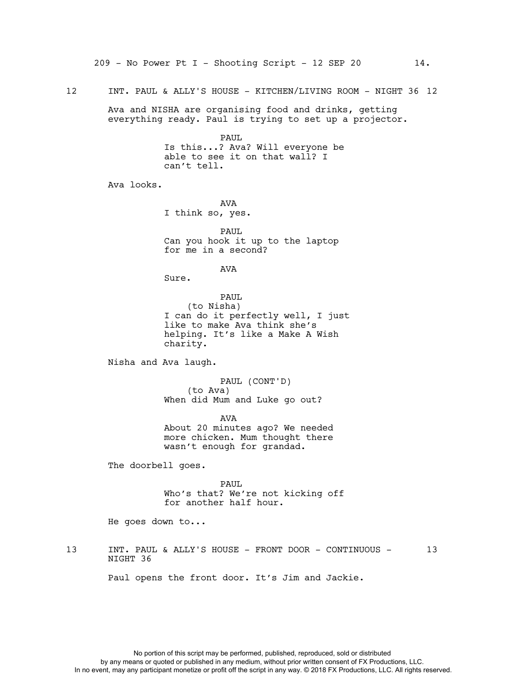Ava and NISHA are organising food and drinks, getting everything ready. Paul is trying to set up a projector.

> PAUL Is this...? Ava? Will everyone be able to see it on that wall? I can't tell.

Ava looks.

AVA I think so, yes.

PAUL Can you hook it up to the laptop for me in a second?

AVA

Sure.

PAUL (to Nisha) I can do it perfectly well, I just like to make Ava think she's helping. It's like a Make A Wish charity.

Nisha and Ava laugh.

PAUL (CONT'D) (to Ava) When did Mum and Luke go out?

AVA About 20 minutes ago? We needed more chicken. Mum thought there wasn't enough for grandad.

The doorbell goes.

PAUL Who's that? We're not kicking off for another half hour.

He goes down to...

13 INT. PAUL & ALLY'S HOUSE - FRONT DOOR - CONTINUOUS - 13 NIGHT 36

Paul opens the front door. It's Jim and Jackie.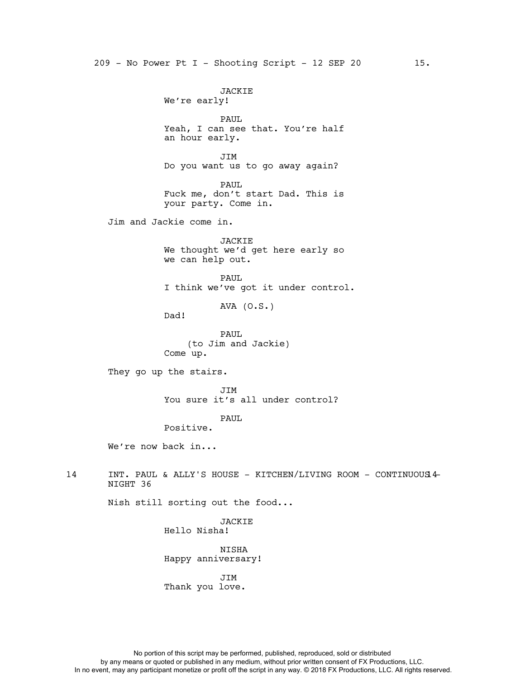JACKIE We're early! PAUL Yeah, I can see that. You're half an hour early. JIM Do you want us to go away again? PAUL Fuck me, don't start Dad. This is your party. Come in. Jim and Jackie come in. JACKIE We thought we'd get here early so we can help out. PAUL I think we've got it under control. AVA (O.S.) Dad! PAUL (to Jim and Jackie) Come up. They go up the stairs. JIM You sure it's all under control? PAUL Positive. We're now back in... 14 INT. PAUL & ALLY'S HOUSE - KITCHEN/LIVING ROOM - CONTINUOUS14-NIGHT 36 Nish still sorting out the food... **JACKIE** Hello Nisha! NISHA Happy anniversary! JIM

Thank you love.

No portion of this script may be performed, published, reproduced, sold or distributed by any means or quoted or published in any medium, without prior written consent of FX Productions, LLC. In no event, may any participant monetize or profit off the script in any way. © 2018 FX Productions, LLC. All rights reserved.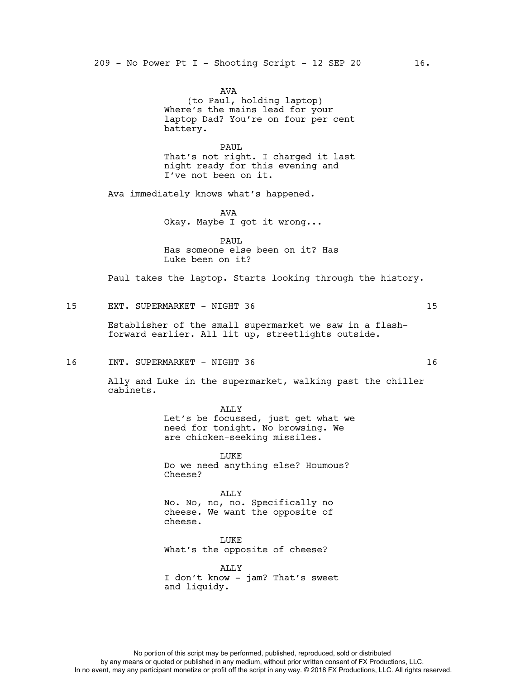AVA (to Paul, holding laptop) Where's the mains lead for your laptop Dad? You're on four per cent battery.

PAUL That's not right. I charged it last night ready for this evening and I've not been on it.

Ava immediately knows what's happened.

AVA Okay. Maybe I got it wrong...

PAUL Has someone else been on it? Has Luke been on it?

Paul takes the laptop. Starts looking through the history.

15 EXT. SUPERMARKET - NIGHT 36 15

Establisher of the small supermarket we saw in a flashforward earlier. All lit up, streetlights outside.

16 INT. SUPERMARKET - NIGHT 36 16 16

Ally and Luke in the supermarket, walking past the chiller cabinets.

> ALLY Let's be focussed, just get what we need for tonight. No browsing. We are chicken-seeking missiles.

LUKE Do we need anything else? Houmous? Cheese?

ALLY No. No, no, no. Specifically no cheese. We want the opposite of cheese.

LUKE What's the opposite of cheese?

ALLY I don't know - jam? That's sweet and liquidy.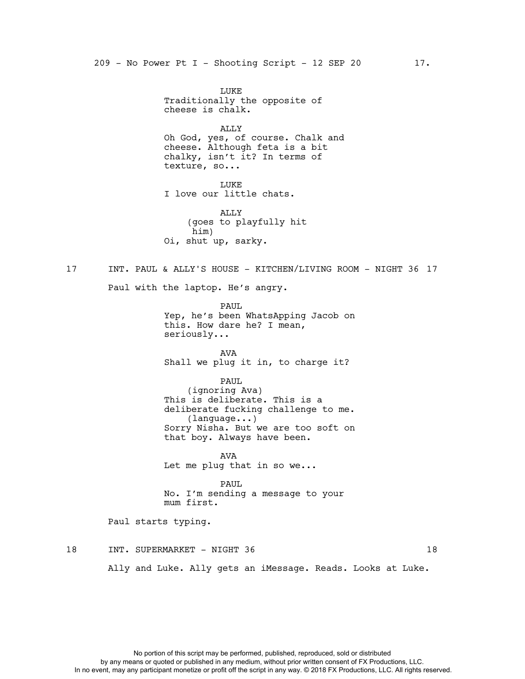LUKE Traditionally the opposite of cheese is chalk. ALLY Oh God, yes, of course. Chalk and cheese. Although feta is a bit chalky, isn't it? In terms of texture, so... LUKE I love our little chats. ALLY (goes to playfully hit him) Oi, shut up, sarky. 17 INT. PAUL & ALLY'S HOUSE - KITCHEN/LIVING ROOM - NIGHT 36 17 Paul with the laptop. He's angry. PAUL Yep, he's been WhatsApping Jacob on this. How dare he? I mean, seriously... AVA Shall we plug it in, to charge it? PAUL (ignoring Ava) This is deliberate. This is a deliberate fucking challenge to me. (language...) Sorry Nisha. But we are too soft on that boy. Always have been. A<sub>17</sub>A Let me plug that in so we... PAUL No. I'm sending a message to your mum first. Paul starts typing. 18 INT. SUPERMARKET - NIGHT 36 18 18

Ally and Luke. Ally gets an iMessage. Reads. Looks at Luke.

No portion of this script may be performed, published, reproduced, sold or distributed by any means or quoted or published in any medium, without prior written consent of FX Productions, LLC. In no event, may any participant monetize or profit off the script in any way. © 2018 FX Productions, LLC. All rights reserved.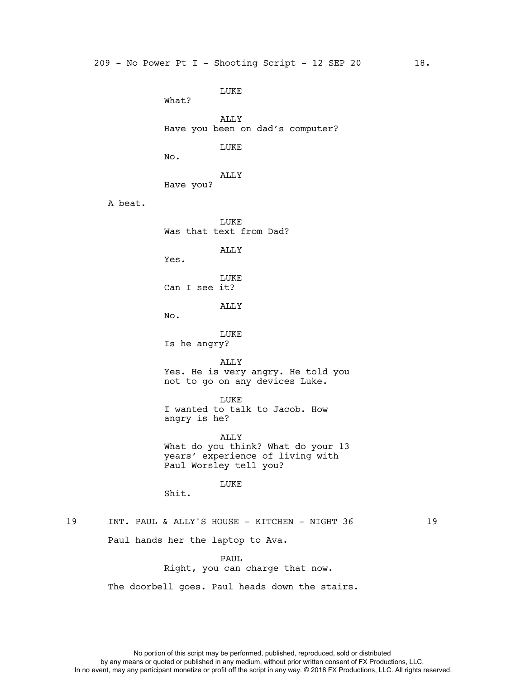LUKE What? ALLY Have you been on dad's computer? LUKE No. ALLY Have you? A beat. LUKE Was that text from Dad? ALLY Yes. LUKE Can I see it? ALLY No. LUKE Is he angry? ALLY Yes. He is very angry. He told you not to go on any devices Luke. LUKE I wanted to talk to Jacob. How angry is he? ALLY What do you think? What do your 13 years' experience of living with Paul Worsley tell you? LUKE Shit. 19 INT. PAUL & ALLY'S HOUSE - KITCHEN - NIGHT 36 19 Paul hands her the laptop to Ava.

PAUL Right, you can charge that now.

The doorbell goes. Paul heads down the stairs.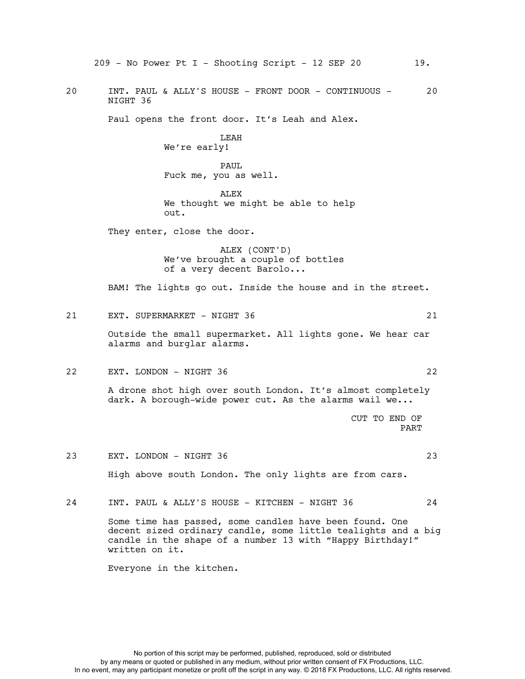209 - No Power Pt I - Shooting Script - 12 SEP 20 19. 20 INT. PAUL & ALLY'S HOUSE - FRONT DOOR - CONTINUOUS - 20 NIGHT 36 Paul opens the front door. It's Leah and Alex. LEAH We're early! PAUL Fuck me, you as well. ALEX We thought we might be able to help out. They enter, close the door. ALEX (CONT'D) We've brought a couple of bottles of a very decent Barolo... BAM! The lights go out. Inside the house and in the street. 21 EXT. SUPERMARKET - NIGHT 36 21 Outside the small supermarket. All lights gone. We hear car alarms and burglar alarms. 22 EXT. LONDON - NIGHT 36 22 A drone shot high over south London. It's almost completely dark. A borough-wide power cut. As the alarms wail we... CUT TO END OF PART 23 EXT. LONDON - NIGHT 36 23 High above south London. The only lights are from cars. 24 INT. PAUL & ALLY'S HOUSE - KITCHEN - NIGHT 36 24 Some time has passed, some candles have been found. One decent sized ordinary candle, some little tealights and a big candle in the shape of a number 13 with "Happy Birthday!" written on it.

Everyone in the kitchen.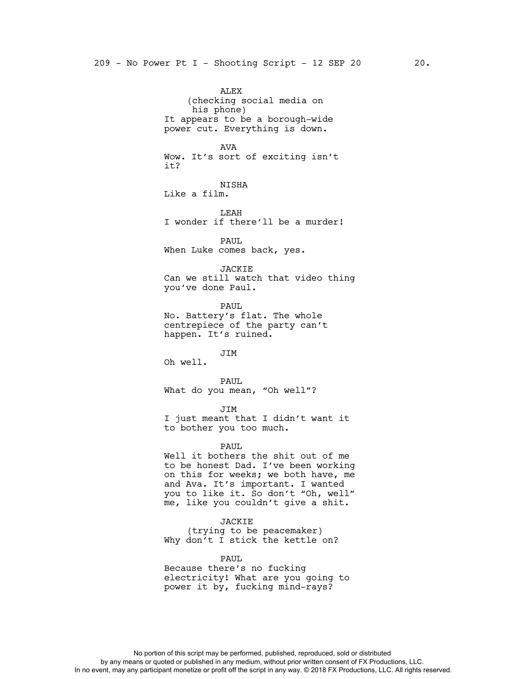ALEX (checking social media on his phone) It appears to be a borough-wide power cut. Everything is down. AVA Wow. It's sort of exciting isn't it? NISHA Like a film. LEAH I wonder if there'll be a murder! PAUL When Luke comes back, yes. JACKIE Can we still watch that video thing you've done Paul. PAUL No. Battery's flat. The whole centrepiece of the party can't happen. It's ruined. JIM Oh well. PAUL What do you mean, "Oh well"? JIM I just meant that I didn't want it to bother you too much. PAUL Well it bothers the shit out of me to be honest Dad. I've been working on this for weeks; we both have, me and Ava. It's important. I wanted you to like it. So don't "Oh, well" me, like you couldn't give a shit. JACKIE (trying to be peacemaker) Why don't I stick the kettle on? PAUL

Because there's no fucking electricity! What are you going to power it by, fucking mind-rays?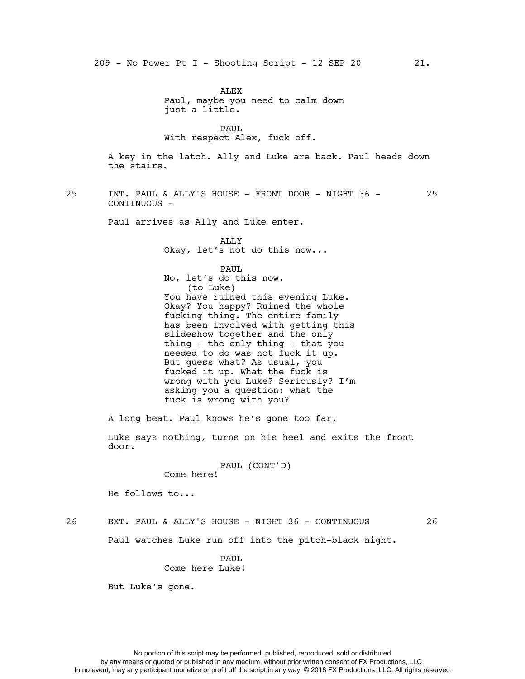ALEX Paul, maybe you need to calm down just a little.

PAUL With respect Alex, fuck off.

A key in the latch. Ally and Luke are back. Paul heads down the stairs.

25 INT. PAUL & ALLY'S HOUSE - FRONT DOOR - NIGHT 36 - 25 CONTINUOUS -

Paul arrives as Ally and Luke enter.

ALLY Okay, let's not do this now...

PAUL No, let's do this now. (to Luke) You have ruined this evening Luke. Okay? You happy? Ruined the whole fucking thing. The entire family has been involved with getting this slideshow together and the only thing - the only thing - that you needed to do was not fuck it up. But guess what? As usual, you fucked it up. What the fuck is wrong with you Luke? Seriously? I'm asking you a question: what the fuck is wrong with you?

A long beat. Paul knows he's gone too far.

Luke says nothing, turns on his heel and exits the front door.

## PAUL (CONT'D)

Come here!

He follows to...

## 26 EXT. PAUL & ALLY'S HOUSE - NIGHT 36 - CONTINUOUS 26

Paul watches Luke run off into the pitch-black night.

# PAUL Come here Luke!

But Luke's gone.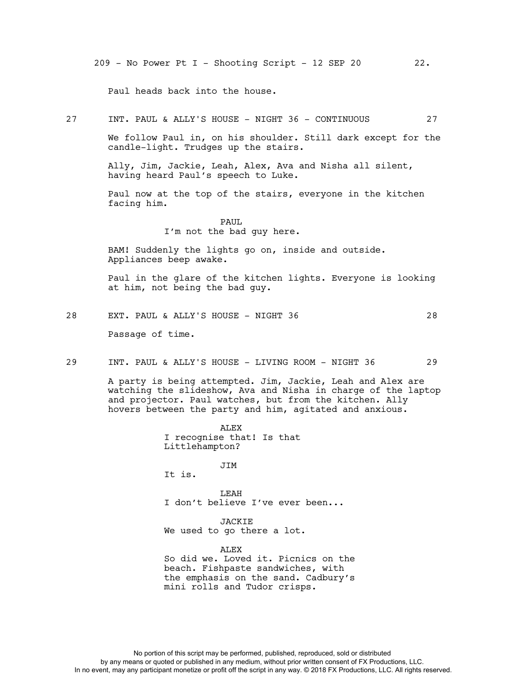209 - No Power Pt I - Shooting Script - 12 SEP 20 22.

Paul heads back into the house.

27 INT. PAUL & ALLY'S HOUSE - NIGHT 36 - CONTINUOUS 27

We follow Paul in, on his shoulder. Still dark except for the candle-light. Trudges up the stairs.

Ally, Jim, Jackie, Leah, Alex, Ava and Nisha all silent, having heard Paul's speech to Luke.

Paul now at the top of the stairs, everyone in the kitchen facing him.

> PAUL I'm not the bad guy here.

BAM! Suddenly the lights go on, inside and outside. Appliances beep awake.

Paul in the glare of the kitchen lights. Everyone is looking at him, not being the bad guy.

- 28 EXT. PAUL & ALLY'S HOUSE NIGHT 36 28 Passage of time.
- 29 INT. PAUL & ALLY'S HOUSE LIVING ROOM NIGHT 36 29

A party is being attempted. Jim, Jackie, Leah and Alex are watching the slideshow, Ava and Nisha in charge of the laptop and projector. Paul watches, but from the kitchen. Ally hovers between the party and him, agitated and anxious.

> ALEX I recognise that! Is that Littlehampton?

JIM It is.

LEAH I don't believe I've ever been...

JACKIE We used to go there a lot.

ALEX So did we. Loved it. Picnics on the beach. Fishpaste sandwiches, with the emphasis on the sand. Cadbury's mini rolls and Tudor crisps.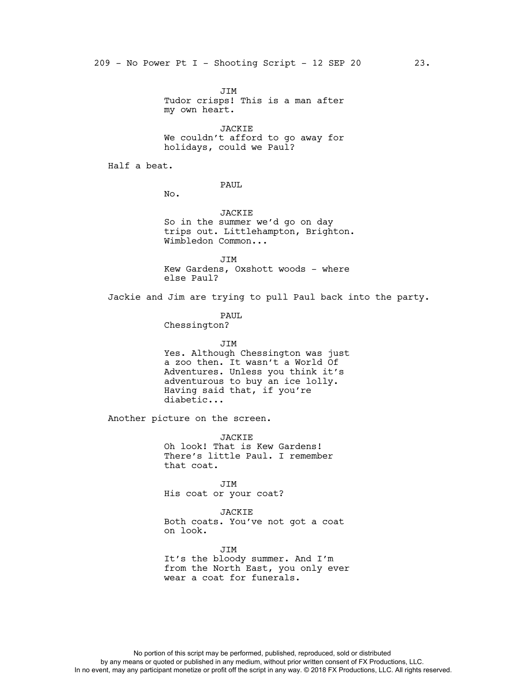JIM Tudor crisps! This is a man after my own heart.

JACKIE We couldn't afford to go away for holidays, could we Paul?

Half a beat.

PAUL

No.

JACKIE So in the summer we'd go on day trips out. Littlehampton, Brighton. Wimbledon Common...

**JTM** Kew Gardens, Oxshott woods - where else Paul?

Jackie and Jim are trying to pull Paul back into the party.

PAUL

Chessington?

JIM Yes. Although Chessington was just a zoo then. It wasn't a World Of Adventures. Unless you think it's adventurous to buy an ice lolly. Having said that, if you're diabetic...

Another picture on the screen.

JACKIE Oh look! That is Kew Gardens! There's little Paul. I remember that coat.

JIM His coat or your coat?

JACKIE Both coats. You've not got a coat on look.

JIM It's the bloody summer. And I'm from the North East, you only ever wear a coat for funerals.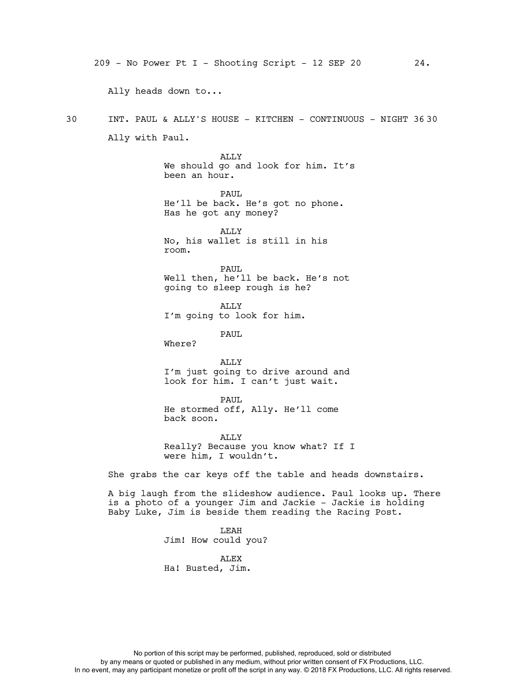209 - No Power Pt I - Shooting Script - 12 SEP 20 24. Ally heads down to... 30 INT. PAUL & ALLY'S HOUSE - KITCHEN - CONTINUOUS - NIGHT 36 30 Ally with Paul. ALLY We should go and look for him. It's been an hour. PAUL He'll be back. He's got no phone. Has he got any money? ALLY No, his wallet is still in his room. PAUL Well then, he'll be back. He's not going to sleep rough is he? ALLY I'm going to look for him. PAUL Where? ALLY I'm just going to drive around and look for him. I can't just wait. PAUL He stormed off, Ally. He'll come back soon. ALLY Really? Because you know what? If I were him, I wouldn't. She grabs the car keys off the table and heads downstairs. A big laugh from the slideshow audience. Paul looks up. There is a photo of a younger Jim and Jackie - Jackie is holding Baby Luke, Jim is beside them reading the Racing Post. LEAH Jim! How could you? ALEX Ha! Busted, Jim.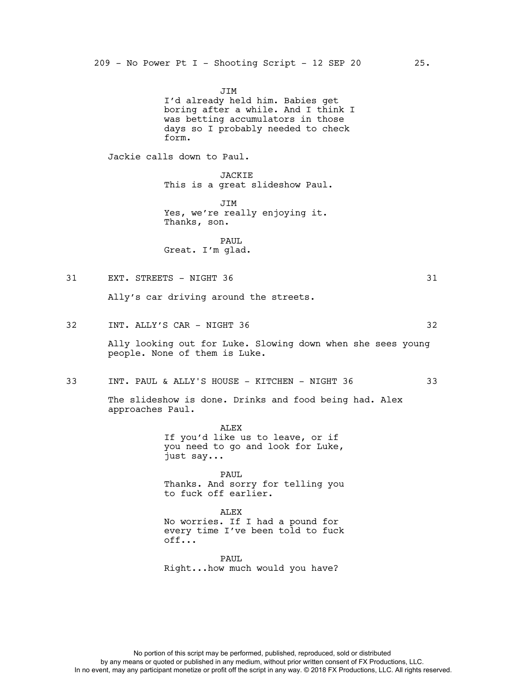JIM I'd already held him. Babies get boring after a while. And I think I was betting accumulators in those days so I probably needed to check form. Jackie calls down to Paul. JACKIE This is a great slideshow Paul. JIM Yes, we're really enjoying it. Thanks, son. PAUL. Great. I'm glad.

# 31 EXT. STREETS - NIGHT 36 31 32 Ally's car driving around the streets. 32 INT. ALLY'S CAR - NIGHT 36 32 Ally looking out for Luke. Slowing down when she sees young people. None of them is Luke.

33 INT. PAUL & ALLY'S HOUSE - KITCHEN - NIGHT 36 33

The slideshow is done. Drinks and food being had. Alex approaches Paul.

> ALEX If you'd like us to leave, or if you need to go and look for Luke, just say...

> PAUL Thanks. And sorry for telling you to fuck off earlier.

> ALEX No worries. If I had a pound for every time I've been told to fuck  $off.$ .

PAUL Right...how much would you have?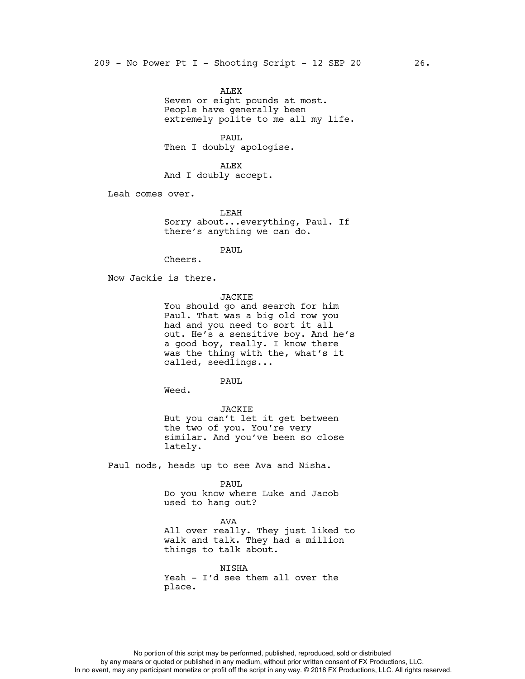ALEX Seven or eight pounds at most. People have generally been extremely polite to me all my life.

PAUL Then I doubly apologise.

ALEX And I doubly accept.

Leah comes over.

LEAH Sorry about...everything, Paul. If there's anything we can do.

PAUL

Cheers.

Now Jackie is there.

JACKIE

You should go and search for him Paul. That was a big old row you had and you need to sort it all out. He's a sensitive boy. And he's a good boy, really. I know there was the thing with the, what's it called, seedlings...

PAUL

Weed.

JACKIE But you can't let it get between the two of you. You're very similar. And you've been so close lately.

Paul nods, heads up to see Ava and Nisha.

PAUL Do you know where Luke and Jacob used to hang out?

AVA All over really. They just liked to walk and talk. They had a million things to talk about.

NISHA Yeah - I'd see them all over the place.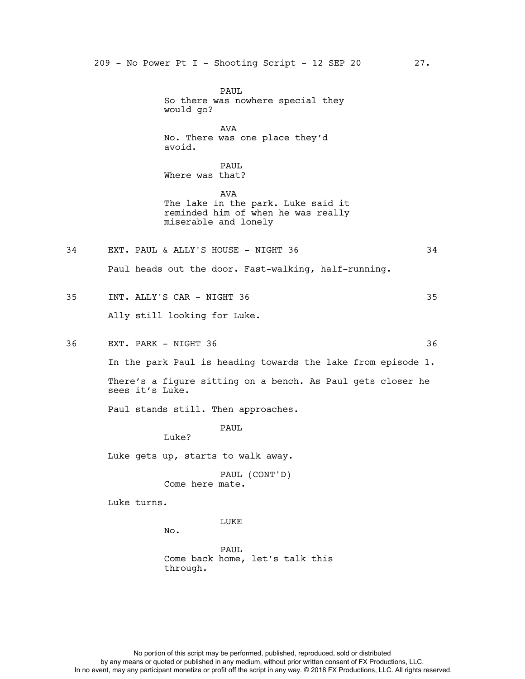PAUL So there was nowhere special they would go? AVA No. There was one place they'd avoid. PAUL Where was that? AVA The lake in the park. Luke said it reminded him of when he was really miserable and lonely 34 EXT. PAUL & ALLY'S HOUSE - NIGHT 36 34 Paul heads out the door. Fast-walking, half-running. 35 INT. ALLY'S CAR - NIGHT 36 35 Ally still looking for Luke. 36 EXT. PARK - NIGHT 36 36 In the park Paul is heading towards the lake from episode 1. There's a figure sitting on a bench. As Paul gets closer he sees it's Luke. Paul stands still. Then approaches. PAUL Luke? Luke gets up, starts to walk away. PAUL (CONT'D) Come here mate. Luke turns. LUKE No.

> PAUL Come back home, let's talk this through.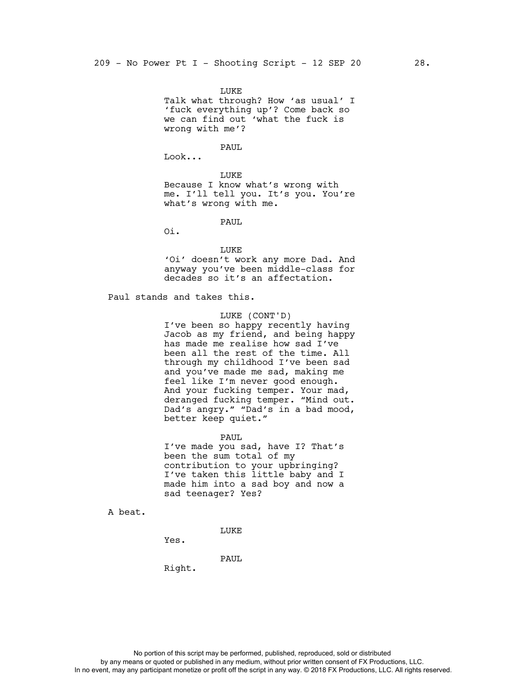LUKE Talk what through? How 'as usual' I 'fuck everything up'? Come back so we can find out 'what the fuck is wrong with me'?

PAUL

Look...

LUKE Because I know what's wrong with me. I'll tell you. It's you. You're what's wrong with me.

PAUL

Oi.

LUKE

'Oi' doesn't work any more Dad. And anyway you've been middle-class for decades so it's an affectation.

Paul stands and takes this.

# LUKE (CONT'D)

I've been so happy recently having Jacob as my friend, and being happy has made me realise how sad I've been all the rest of the time. All through my childhood I've been sad and you've made me sad, making me feel like I'm never good enough. And your fucking temper. Your mad, deranged fucking temper. "Mind out. Dad's angry." "Dad's in a bad mood, better keep quiet."

PAUL

I've made you sad, have I? That's been the sum total of my contribution to your upbringing? I've taken this little baby and I made him into a sad boy and now a sad teenager? Yes?

A beat.

LUKE

Yes.

PAUL

Right.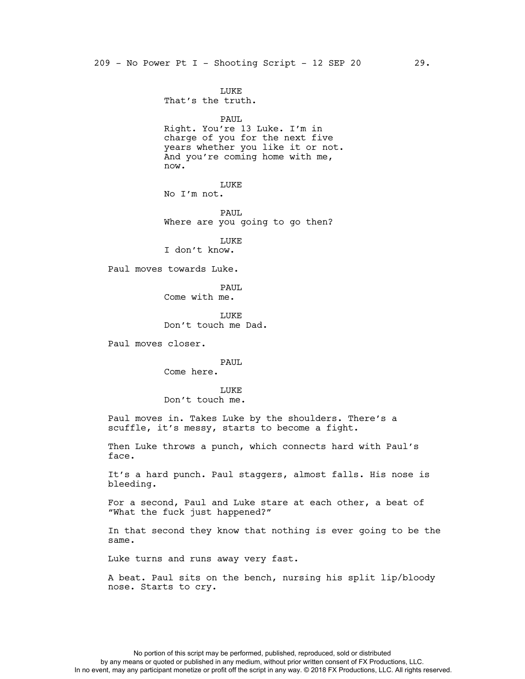LUKE That's the truth. PAUL Right. You're 13 Luke. I'm in charge of you for the next five years whether you like it or not. And you're coming home with me, now. LUKE No I'm not. PAUL Where are you going to go then? LUKE I don't know. Paul moves towards Luke. PAUL Come with me. LUKE Don't touch me Dad. Paul moves closer. PAUL Come here. LUKE Don't touch me. Paul moves in. Takes Luke by the shoulders. There's a scuffle, it's messy, starts to become a fight. Then Luke throws a punch, which connects hard with Paul's face. It's a hard punch. Paul staggers, almost falls. His nose is bleeding. For a second, Paul and Luke stare at each other, a beat of "What the fuck just happened?" In that second they know that nothing is ever going to be the same. Luke turns and runs away very fast. A beat. Paul sits on the bench, nursing his split lip/bloody nose. Starts to cry.